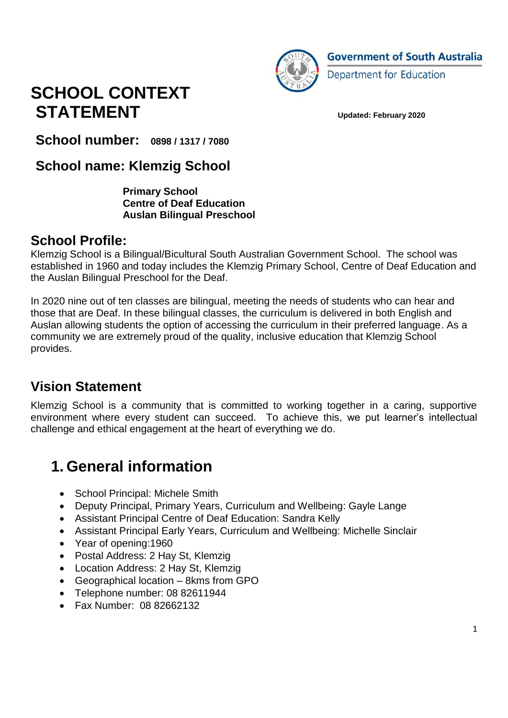

# **SCHOOL CONTEXT STATEMENT Updated: February 2020**

**School number: 0898 / 1317 / 7080**

# **School name: Klemzig School**

**Primary School Centre of Deaf Education Auslan Bilingual Preschool**

## **School Profile:**

Klemzig School is a Bilingual/Bicultural South Australian Government School. The school was established in 1960 and today includes the Klemzig Primary School, Centre of Deaf Education and the Auslan Bilingual Preschool for the Deaf.

In 2020 nine out of ten classes are bilingual, meeting the needs of students who can hear and those that are Deaf. In these bilingual classes, the curriculum is delivered in both English and Auslan allowing students the option of accessing the curriculum in their preferred language. As a community we are extremely proud of the quality, inclusive education that Klemzig School provides.

# **Vision Statement**

Klemzig School is a community that is committed to working together in a caring, supportive environment where every student can succeed. To achieve this, we put learner's intellectual challenge and ethical engagement at the heart of everything we do.

# **1. General information**

- School Principal: Michele Smith
- Deputy Principal, Primary Years, Curriculum and Wellbeing: Gayle Lange
- Assistant Principal Centre of Deaf Education: Sandra Kelly
- Assistant Principal Early Years, Curriculum and Wellbeing: Michelle Sinclair
- Year of opening: 1960
- Postal Address: 2 Hay St, Klemzig
- Location Address: 2 Hay St, Klemzig
- Geographical location 8kms from GPO
- Telephone number: 08 82611944
- Fax Number: 08 82662132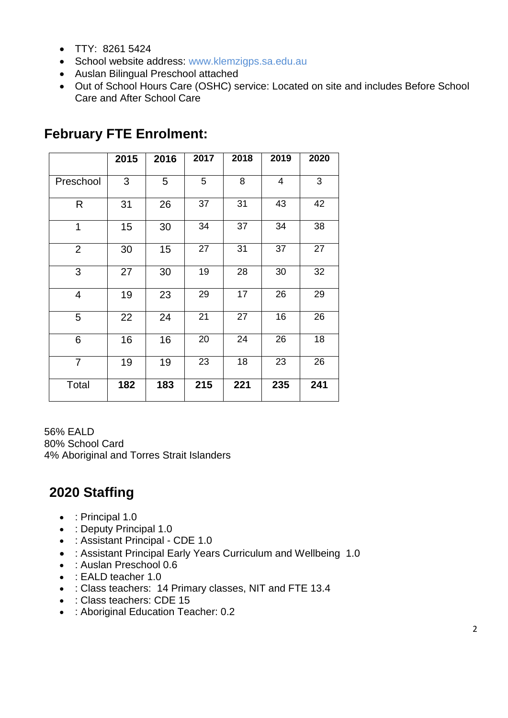- TTY: 8261 5424
- School website address: [www.klemzigps.sa.edu.au](http://www.klemzigps.sa.edu.au/)
- Auslan Bilingual Preschool attached
- Out of School Hours Care (OSHC) service: Located on site and includes Before School Care and After School Care

|                | 2015 | 2016 | 2017 | 2018 | 2019 | 2020 |
|----------------|------|------|------|------|------|------|
| Preschool      | 3    | 5    | 5    | 8    | 4    | 3    |
| R              | 31   | 26   | 37   | 31   | 43   | 42   |
| 1              | 15   | 30   | 34   | 37   | 34   | 38   |
| $\overline{2}$ | 30   | 15   | 27   | 31   | 37   | 27   |
| 3              | 27   | 30   | 19   | 28   | 30   | 32   |
| 4              | 19   | 23   | 29   | 17   | 26   | 29   |
| 5              | 22   | 24   | 21   | 27   | $16$ | 26   |
| 6              | 16   | 16   | 20   | 24   | 26   | 18   |
| $\overline{7}$ | 19   | 19   | 23   | 18   | 23   | 26   |
| Total          | 182  | 183  | 215  | 221  | 235  | 241  |

## **February FTE Enrolment:**

56% EALD 80% School Card 4% Aboriginal and Torres Strait Islanders

# **2020 Staffing**

- : Principal 1.0
- : Deputy Principal 1.0
- : Assistant Principal CDE 1.0
- : Assistant Principal Early Years Curriculum and Wellbeing 1.0
- : Auslan Preschool 0.6
- : EALD teacher 1.0
- : Class teachers: 14 Primary classes, NIT and FTE 13.4
- : Class teachers: CDE 15
- : Aboriginal Education Teacher: 0.2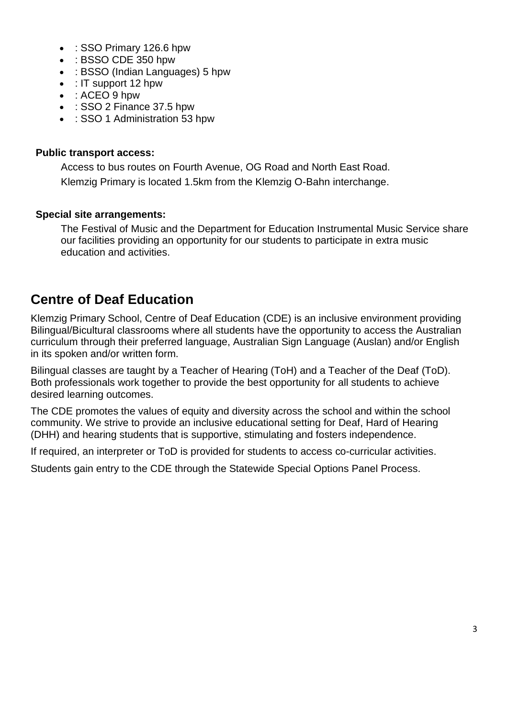- : SSO Primary 126.6 hpw
- : BSSO CDE 350 hpw
- : BSSO (Indian Languages) 5 hpw
- : IT support 12 hpw
- : ACEO 9 hpw
- : SSO 2 Finance 37.5 hpw
- : SSO 1 Administration 53 hpw

### **Public transport access:**

Access to bus routes on Fourth Avenue, OG Road and North East Road. Klemzig Primary is located 1.5km from the Klemzig O-Bahn interchange.

### **Special site arrangements:**

The Festival of Music and the Department for Education Instrumental Music Service share our facilities providing an opportunity for our students to participate in extra music education and activities.

# **Centre of Deaf Education**

Klemzig Primary School, Centre of Deaf Education (CDE) is an inclusive environment providing Bilingual/Bicultural classrooms where all students have the opportunity to access the Australian curriculum through their preferred language, Australian Sign Language (Auslan) and/or English in its spoken and/or written form.

Bilingual classes are taught by a Teacher of Hearing (ToH) and a Teacher of the Deaf (ToD). Both professionals work together to provide the best opportunity for all students to achieve desired learning outcomes.

The CDE promotes the values of equity and diversity across the school and within the school community. We strive to provide an inclusive educational setting for Deaf, Hard of Hearing (DHH) and hearing students that is supportive, stimulating and fosters independence.

If required, an interpreter or ToD is provided for students to access co-curricular activities.

Students gain entry to the CDE through the Statewide Special Options Panel Process.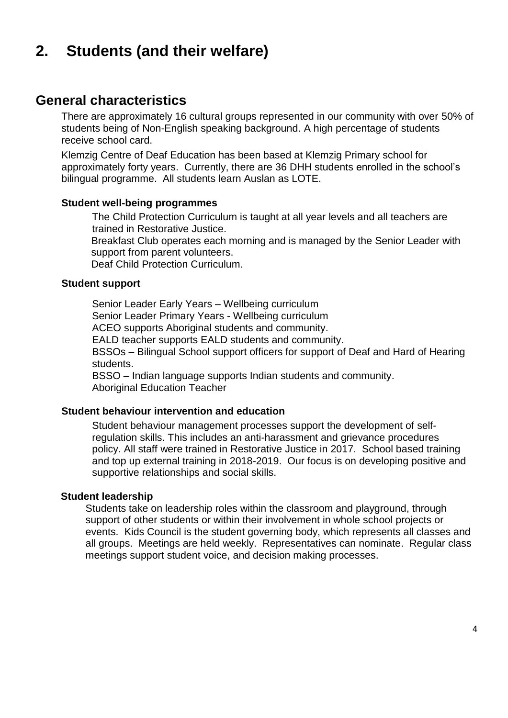# **2. Students (and their welfare)**

## **General characteristics**

There are approximately 16 cultural groups represented in our community with over 50% of students being of Non-English speaking background. A high percentage of students receive school card.

Klemzig Centre of Deaf Education has been based at Klemzig Primary school for approximately forty years. Currently, there are 36 DHH students enrolled in the school's bilingual programme. All students learn Auslan as LOTE.

### **Student well-being programmes**

The Child Protection Curriculum is taught at all year levels and all teachers are trained in Restorative Justice.

Breakfast Club operates each morning and is managed by the Senior Leader with support from parent volunteers.

Deaf Child Protection Curriculum.

### **Student support**

Senior Leader Early Years – Wellbeing curriculum Senior Leader Primary Years - Wellbeing curriculum ACEO supports Aboriginal students and community. EALD teacher supports EALD students and community. BSSOs – Bilingual School support officers for support of Deaf and Hard of Hearing students. BSSO – Indian language supports Indian students and community. Aboriginal Education Teacher

### **Student behaviour intervention and education**

Student behaviour management processes support the development of selfregulation skills. This includes an anti-harassment and grievance procedures policy. All staff were trained in Restorative Justice in 2017. School based training and top up external training in 2018-2019. Our focus is on developing positive and supportive relationships and social skills.

### **Student leadership**

Students take on leadership roles within the classroom and playground, through support of other students or within their involvement in whole school projects or events. Kids Council is the student governing body, which represents all classes and all groups. Meetings are held weekly. Representatives can nominate. Regular class meetings support student voice, and decision making processes.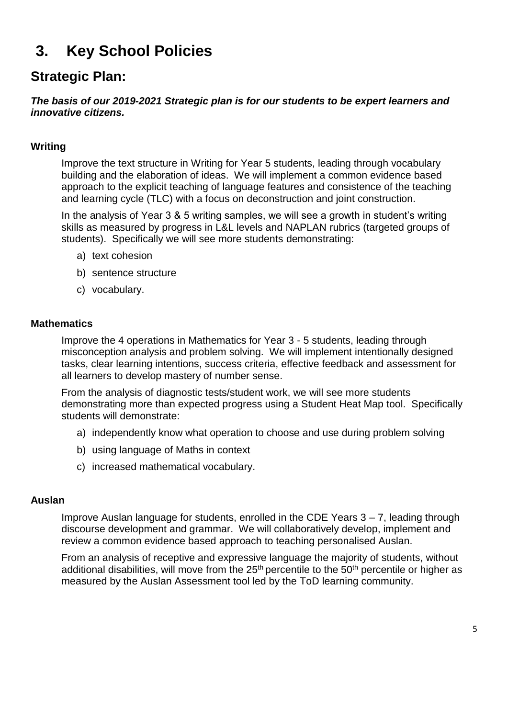# **3. Key School Policies**

# **Strategic Plan:**

*The basis of our 2019-2021 Strategic plan is for our students to be expert learners and innovative citizens.*

## **Writing**

Improve the text structure in Writing for Year 5 students, leading through vocabulary building and the elaboration of ideas. We will implement a common evidence based approach to the explicit teaching of language features and consistence of the teaching and learning cycle (TLC) with a focus on deconstruction and joint construction.

In the analysis of Year 3 & 5 writing samples, we will see a growth in student's writing skills as measured by progress in L&L levels and NAPLAN rubrics (targeted groups of students). Specifically we will see more students demonstrating:

- a) text cohesion
- b) sentence structure
- c) vocabulary.

### **Mathematics**

Improve the 4 operations in Mathematics for Year 3 - 5 students, leading through misconception analysis and problem solving. We will implement intentionally designed tasks, clear learning intentions, success criteria, effective feedback and assessment for all learners to develop mastery of number sense.

From the analysis of diagnostic tests/student work, we will see more students demonstrating more than expected progress using a Student Heat Map tool. Specifically students will demonstrate:

- a) independently know what operation to choose and use during problem solving
- b) using language of Maths in context
- c) increased mathematical vocabulary.

### **Auslan**

Improve Auslan language for students, enrolled in the CDE Years 3 – 7, leading through discourse development and grammar. We will collaboratively develop, implement and review a common evidence based approach to teaching personalised Auslan.

From an analysis of receptive and expressive language the majority of students, without additional disabilities, will move from the  $25<sup>th</sup>$  percentile to the  $50<sup>th</sup>$  percentile or higher as measured by the Auslan Assessment tool led by the ToD learning community.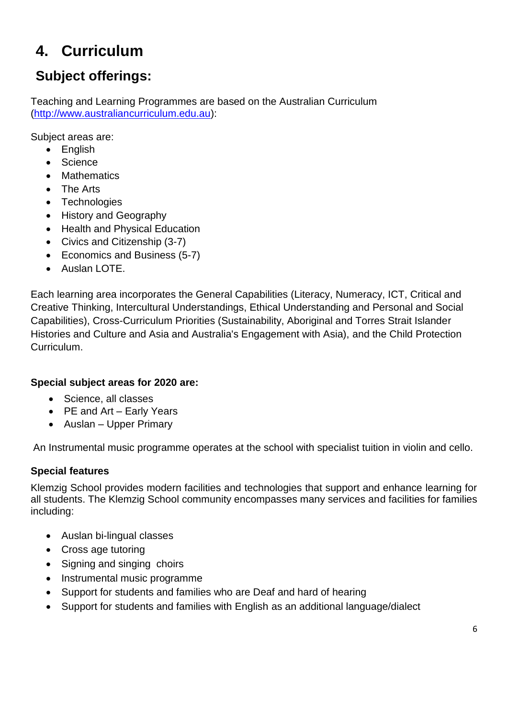# **4. Curriculum**

# **Subject offerings:**

Teaching and Learning Programmes are based on the Australian Curriculum [\(http://www.australiancurriculum.edu.au\)](http://www.australiancurriculum.edu.au/):

Subject areas are:

- English
- Science
- Mathematics
- The Arts
- Technologies
- History and Geography
- Health and Physical Education
- Civics and Citizenship (3-7)
- Economics and Business (5-7)
- Auslan LOTE.

Each learning area incorporates the General Capabilities (Literacy, Numeracy, ICT, Critical and Creative Thinking, Intercultural Understandings, Ethical Understanding and Personal and Social Capabilities), Cross-Curriculum Priorities (Sustainability, Aboriginal and Torres Strait Islander Histories and Culture and Asia and Australia's Engagement with Asia), and the Child Protection Curriculum.

## **Special subject areas for 2020 are:**

- Science, all classes
- PE and Art Early Years
- Auslan Upper Primary

An Instrumental music programme operates at the school with specialist tuition in violin and cello.

## **Special features**

Klemzig School provides modern facilities and technologies that support and enhance learning for all students. The Klemzig School community encompasses many services and facilities for families including:

- Auslan bi-lingual classes
- Cross age tutoring
- Signing and singing choirs
- Instrumental music programme
- Support for students and families who are Deaf and hard of hearing
- Support for students and families with English as an additional language/dialect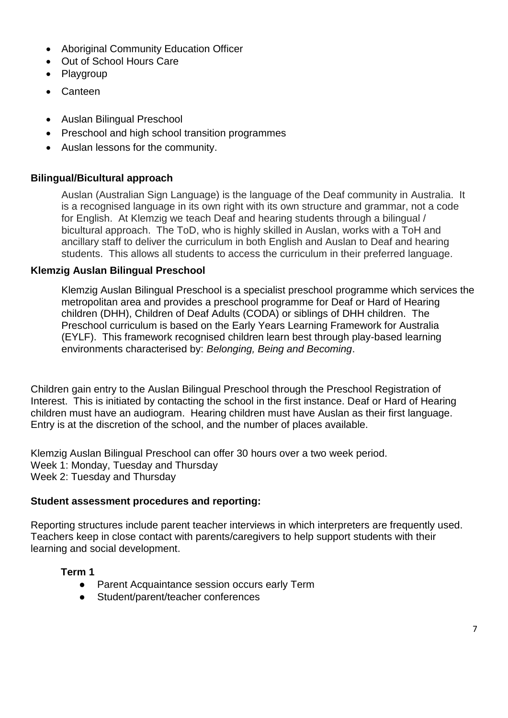- Aboriginal Community Education Officer
- Out of School Hours Care
- Playgroup
- Canteen
- Auslan Bilingual Preschool
- Preschool and high school transition programmes
- Auslan lessons for the community.

## **Bilingual/Bicultural approach**

Auslan (Australian Sign Language) is the language of the Deaf community in Australia. It is a recognised language in its own right with its own structure and grammar, not a code for English. At Klemzig we teach Deaf and hearing students through a bilingual / bicultural approach. The ToD, who is highly skilled in Auslan, works with a ToH and ancillary staff to deliver the curriculum in both English and Auslan to Deaf and hearing students. This allows all students to access the curriculum in their preferred language.

### **Klemzig Auslan Bilingual Preschool**

Klemzig Auslan Bilingual Preschool is a specialist preschool programme which services the metropolitan area and provides a preschool programme for Deaf or Hard of Hearing children (DHH), Children of Deaf Adults (CODA) or siblings of DHH children. The Preschool curriculum is based on the Early Years Learning Framework for Australia (EYLF). This framework recognised children learn best through play-based learning environments characterised by: *Belonging, Being and Becoming*.

Children gain entry to the Auslan Bilingual Preschool through the Preschool Registration of Interest. This is initiated by contacting the school in the first instance. Deaf or Hard of Hearing children must have an audiogram. Hearing children must have Auslan as their first language. Entry is at the discretion of the school, and the number of places available.

Klemzig Auslan Bilingual Preschool can offer 30 hours over a two week period. Week 1: Monday, Tuesday and Thursday Week 2: Tuesday and Thursday

## **Student assessment procedures and reporting:**

Reporting structures include parent teacher interviews in which interpreters are frequently used. Teachers keep in close contact with parents/caregivers to help support students with their learning and social development.

### **Term 1**

- Parent Acquaintance session occurs early Term
- Student/parent/teacher conferences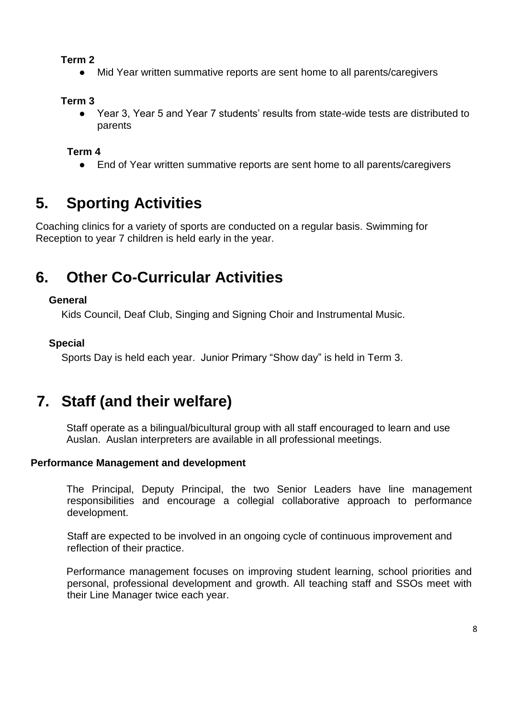### **Term 2**

• Mid Year written summative reports are sent home to all parents/caregivers

### **Term 3**

● Year 3, Year 5 and Year 7 students' results from state-wide tests are distributed to parents

### **Term 4**

● End of Year written summative reports are sent home to all parents/caregivers

# **5. Sporting Activities**

Coaching clinics for a variety of sports are conducted on a regular basis. Swimming for Reception to year 7 children is held early in the year.

# **6. Other Co-Curricular Activities**

### **General**

Kids Council, Deaf Club, Singing and Signing Choir and Instrumental Music.

### **Special**

Sports Day is held each year. Junior Primary "Show day" is held in Term 3.

# **7. Staff (and their welfare)**

Staff operate as a bilingual/bicultural group with all staff encouraged to learn and use Auslan. Auslan interpreters are available in all professional meetings.

### **Performance Management and development**

The Principal, Deputy Principal, the two Senior Leaders have line management responsibilities and encourage a collegial collaborative approach to performance development.

Staff are expected to be involved in an ongoing cycle of continuous improvement and reflection of their practice.

Performance management focuses on improving student learning, school priorities and personal, professional development and growth. All teaching staff and SSOs meet with their Line Manager twice each year.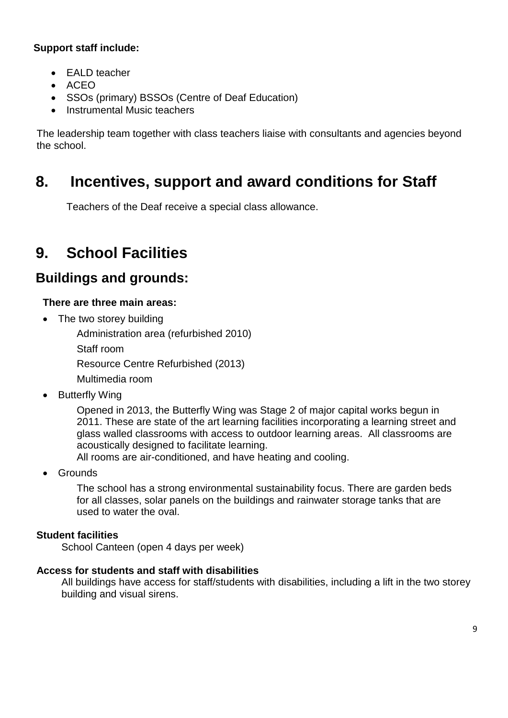## **Support staff include:**

- EALD teacher
- $\bullet$  ACEO
- SSOs (primary) BSSOs (Centre of Deaf Education)
- Instrumental Music teachers

The leadership team together with class teachers liaise with consultants and agencies beyond the school.

# **8. Incentives, support and award conditions for Staff**

Teachers of the Deaf receive a special class allowance.

# **9. School Facilities**

# **Buildings and grounds:**

## **There are three main areas:**

The two storey building

Administration area (refurbished 2010)

Staff room

Resource Centre Refurbished (2013)

- Multimedia room
- Butterfly Wing

Opened in 2013, the Butterfly Wing was Stage 2 of major capital works begun in 2011. These are state of the art learning facilities incorporating a learning street and glass walled classrooms with access to outdoor learning areas. All classrooms are acoustically designed to facilitate learning.

All rooms are air-conditioned, and have heating and cooling.

Grounds

The school has a strong environmental sustainability focus. There are garden beds for all classes, solar panels on the buildings and rainwater storage tanks that are used to water the oval.

## **Student facilities**

School Canteen (open 4 days per week)

## **Access for students and staff with disabilities**

All buildings have access for staff/students with disabilities, including a lift in the two storey building and visual sirens.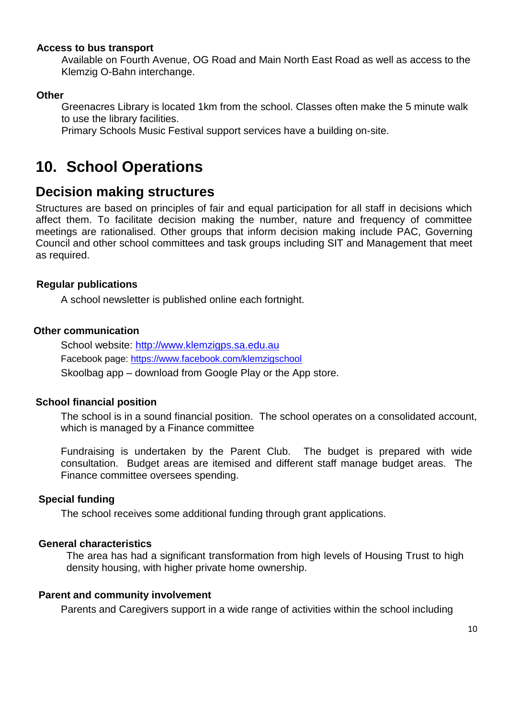### **Access to bus transport**

Available on Fourth Avenue, OG Road and Main North East Road as well as access to the Klemzig O-Bahn interchange.

#### **Other**

Greenacres Library is located 1km from the school. Classes often make the 5 minute walk to use the library facilities.

Primary Schools Music Festival support services have a building on-site.

# **10. School Operations**

## **Decision making structures**

Structures are based on principles of fair and equal participation for all staff in decisions which affect them. To facilitate decision making the number, nature and frequency of committee meetings are rationalised. Other groups that inform decision making include PAC, Governing Council and other school committees and task groups including SIT and Management that meet as required.

### **Regular publications**

A school newsletter is published online each fortnight.

#### **Other communication**

School website: [http://www.klemzigps.sa.edu.au](http://www.klemzigps.sa.edu.au/) Facebook page: <https://www.facebook.com/klemzigschool> Skoolbag app – download from Google Play or the App store.

### **School financial position**

The school is in a sound financial position. The school operates on a consolidated account, which is managed by a Finance committee

Fundraising is undertaken by the Parent Club. The budget is prepared with wide consultation. Budget areas are itemised and different staff manage budget areas. The Finance committee oversees spending.

#### **Special funding**

The school receives some additional funding through grant applications.

#### **General characteristics**

The area has had a significant transformation from high levels of Housing Trust to high density housing, with higher private home ownership.

#### **Parent and community involvement**

Parents and Caregivers support in a wide range of activities within the school including